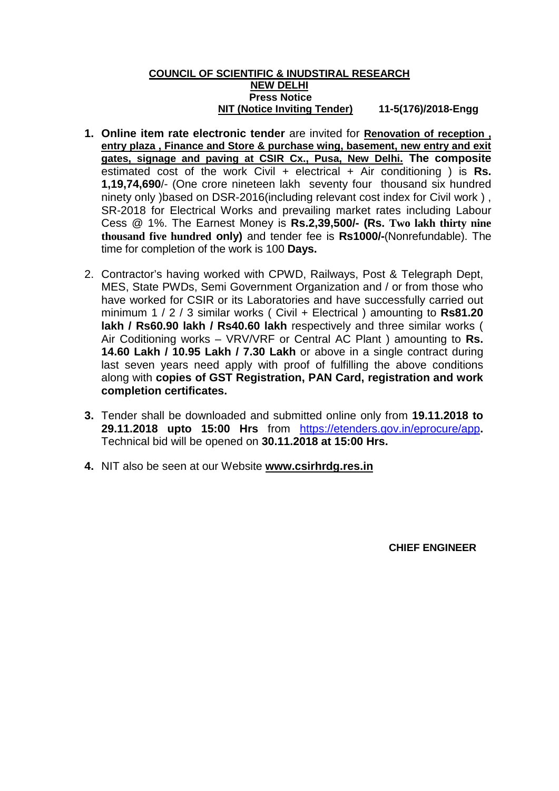## **COUNCIL OF SCIENTIFIC & INUDSTIRAL RESEARCH NEW DELHI Press Notice NIT (Notice Inviting Tender) 11-5(176)/2018-Engg**

- **1. Online item rate electronic tender** are invited for **Renovation of reception , entry plaza , Finance and Store & purchase wing, basement, new entry and exit gates, signage and paving at CSIR Cx., Pusa, New Delhi. The composite**  estimated cost of the work Civil + electrical + Air conditioning ) is **Rs. 1,19,74,690**/- (One crore nineteen lakh seventy four thousand six hundred ninety only )based on DSR-2016(including relevant cost index for Civil work ) , SR-2018 for Electrical Works and prevailing market rates including Labour Cess @ 1%. The Earnest Money is **Rs.2,39,500/- (Rs. Two lakh thirty nine thousand five hundred only)** and tender fee is **Rs1000/-**(Nonrefundable). The time for completion of the work is 100 **Days.**
- 2. Contractor's having worked with CPWD, Railways, Post & Telegraph Dept, MES, State PWDs, Semi Government Organization and / or from those who have worked for CSIR or its Laboratories and have successfully carried out minimum 1 / 2 / 3 similar works ( Civil + Electrical ) amounting to **Rs81.20 lakh / Rs60.90 lakh / Rs40.60 lakh** respectively and three similar works ( Air Coditioning works – VRV/VRF or Central AC Plant ) amounting to **Rs. 14.60 Lakh / 10.95 Lakh / 7.30 Lakh** or above in a single contract during last seven years need apply with proof of fulfilling the above conditions along with **copies of GST Registration, PAN Card, registration and work completion certificates.**
- **3.** Tender shall be downloaded and submitted online only from **19.11.2018 to 29.11.2018 upto 15:00 Hrs** from <https://etenders.gov.in/eprocure/app>**.**  Technical bid will be opened on **30.11.2018 at 15:00 Hrs.**
- **4.** NIT also be seen at our Website **www.csirhrdg.res.in**

 **CHIEF ENGINEER**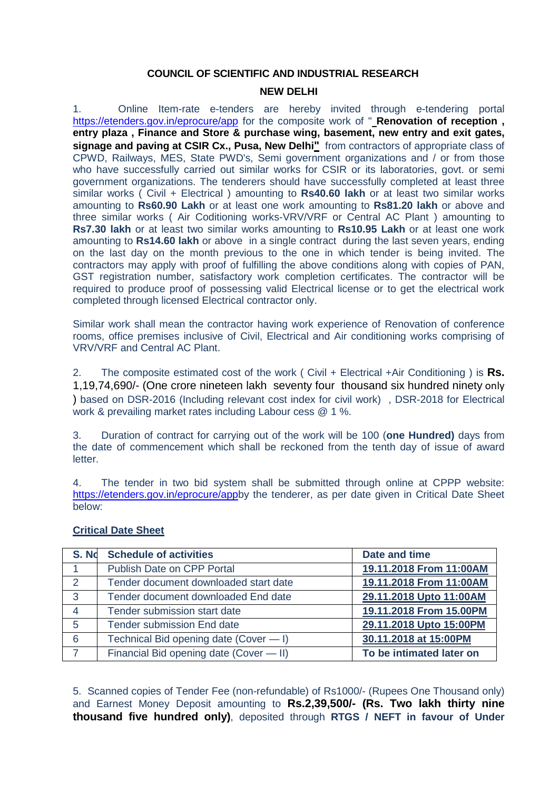## **COUNCIL OF SCIENTIFIC AND INDUSTRIAL RESEARCH**

#### **NEW DELHI**

1. Online Item-rate e-tenders are hereby invited through e-tendering portal <https://etenders.gov.in/eprocure/app> for the composite work of " **Renovation of reception**, **entry plaza , Finance and Store & purchase wing, basement, new entry and exit gates, signage and paving at CSIR Cx., Pusa, New Delhi"** from contractors of appropriate class of CPWD, Railways, MES, State PWD's, Semi government organizations and / or from those who have successfully carried out similar works for CSIR or its laboratories, govt. or semi government organizations. The tenderers should have successfully completed at least three similar works ( Civil + Electrical ) amounting to **Rs40.60 lakh** or at least two similar works amounting to **Rs60.90 Lakh** or at least one work amounting to **Rs81.20 lakh** or above and three similar works ( Air Coditioning works-VRV/VRF or Central AC Plant ) amounting to **Rs7.30 lakh** or at least two similar works amounting to **Rs10.95 Lakh** or at least one work amounting to **Rs14.60 lakh** or above in a single contract during the last seven years, ending on the last day on the month previous to the one in which tender is being invited. The contractors may apply with proof of fulfilling the above conditions along with copies of PAN, GST registration number, satisfactory work completion certificates. The contractor will be required to produce proof of possessing valid Electrical license or to get the electrical work completed through licensed Electrical contractor only.

Similar work shall mean the contractor having work experience of Renovation of conference rooms, office premises inclusive of Civil, Electrical and Air conditioning works comprising of VRV/VRF and Central AC Plant.

2. The composite estimated cost of the work ( Civil + Electrical +Air Conditioning ) is **Rs.** 1,19,74,690/- (One crore nineteen lakh seventy four thousand six hundred ninety only ) based on DSR-2016 (Including relevant cost index for civil work) , DSR-2018 for Electrical work & prevailing market rates including Labour cess @ 1 %.

3. Duration of contract for carrying out of the work will be 100 (**one Hundred)** days from the date of commencement which shall be reckoned from the tenth day of issue of award letter.

4. The tender in two bid system shall be submitted through online at CPPP website: [https://etenders.gov.in/eprocure/appb](https://etenders.gov.in/eprocure/app)y the tenderer, as per date given in Critical Date Sheet below:

| S. No         | <b>Schedule of activities</b>           | <b>Date and time</b>     |
|---------------|-----------------------------------------|--------------------------|
|               | <b>Publish Date on CPP Portal</b>       | 19.11.2018 From 11:00AM  |
| $\mathcal{P}$ | Tender document downloaded start date   | 19.11.2018 From 11:00AM  |
| 3             | Tender document downloaded End date     | 29.11.2018 Upto 11:00AM  |
| 4             | Tender submission start date            | 19.11.2018 From 15.00PM  |
| 5             | <b>Tender submission End date</b>       | 29.11.2018 Upto 15:00PM  |
| 6             | Technical Bid opening date (Cover - I)  | 30.11.2018 at 15:00PM    |
|               | Financial Bid opening date (Cover - II) | To be intimated later on |

### **Critical Date Sheet**

5. Scanned copies of Tender Fee (non-refundable) of Rs1000/- (Rupees One Thousand only) and Earnest Money Deposit amounting to **Rs.2,39,500/- (Rs. Two lakh thirty nine thousand five hundred only)**, deposited through **RTGS / NEFT in favour of Under**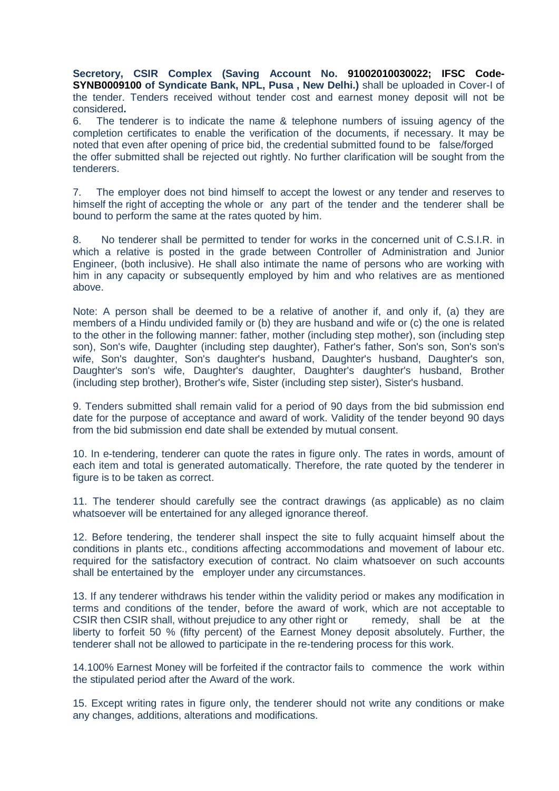**Secretory, CSIR Complex (Saving Account No. 91002010030022; IFSC Code-SYNB0009100 of Syndicate Bank, NPL, Pusa , New Delhi.)** shall be uploaded in Cover-I of the tender. Tenders received without tender cost and earnest money deposit will not be considered**.**

6. The tenderer is to indicate the name & telephone numbers of issuing agency of the completion certificates to enable the verification of the documents, if necessary. It may be noted that even after opening of price bid, the credential submitted found to be false/forged the offer submitted shall be rejected out rightly. No further clarification will be sought from the tenderers.

7. The employer does not bind himself to accept the lowest or any tender and reserves to himself the right of accepting the whole or any part of the tender and the tenderer shall be bound to perform the same at the rates quoted by him.

8. No tenderer shall be permitted to tender for works in the concerned unit of C.S.I.R. in which a relative is posted in the grade between Controller of Administration and Junior Engineer, (both inclusive). He shall also intimate the name of persons who are working with him in any capacity or subsequently employed by him and who relatives are as mentioned above.

Note: A person shall be deemed to be a relative of another if, and only if, (a) they are members of a Hindu undivided family or (b) they are husband and wife or (c) the one is related to the other in the following manner: father, mother (including step mother), son (including step son), Son's wife, Daughter (including step daughter), Father's father, Son's son, Son's son's wife, Son's daughter, Son's daughter's husband, Daughter's husband, Daughter's son, Daughter's son's wife, Daughter's daughter, Daughter's daughter's husband, Brother (including step brother), Brother's wife, Sister (including step sister), Sister's husband.

9. Tenders submitted shall remain valid for a period of 90 days from the bid submission end date for the purpose of acceptance and award of work. Validity of the tender beyond 90 days from the bid submission end date shall be extended by mutual consent.

10. In e-tendering, tenderer can quote the rates in figure only. The rates in words, amount of each item and total is generated automatically. Therefore, the rate quoted by the tenderer in figure is to be taken as correct.

11. The tenderer should carefully see the contract drawings (as applicable) as no claim whatsoever will be entertained for any alleged ignorance thereof.

12. Before tendering, the tenderer shall inspect the site to fully acquaint himself about the conditions in plants etc., conditions affecting accommodations and movement of labour etc. required for the satisfactory execution of contract. No claim whatsoever on such accounts shall be entertained by the employer under any circumstances.

13. If any tenderer withdraws his tender within the validity period or makes any modification in terms and conditions of the tender, before the award of work, which are not acceptable to CSIR then CSIR shall, without prejudice to any other right or remedy, shall be at the liberty to forfeit 50 % (fifty percent) of the Earnest Money deposit absolutely. Further, the tenderer shall not be allowed to participate in the re-tendering process for this work.

14.100% Earnest Money will be forfeited if the contractor fails to commence the work within the stipulated period after the Award of the work.

15. Except writing rates in figure only, the tenderer should not write any conditions or make any changes, additions, alterations and modifications.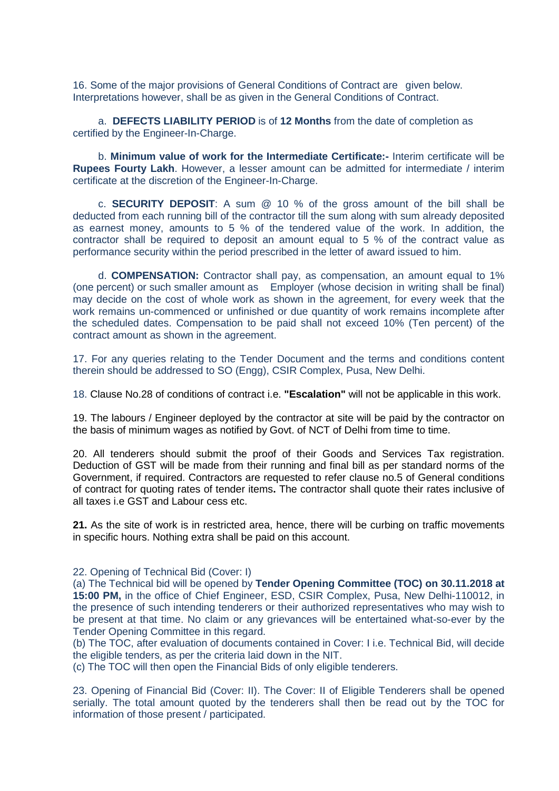16. Some of the major provisions of General Conditions of Contract are given below. Interpretations however, shall be as given in the General Conditions of Contract.

a. **DEFECTS LIABILITY PERIOD** is of **12 Months** from the date of completion as certified by the Engineer-In-Charge.

b. **Minimum value of work for the Intermediate Certificate:-** Interim certificate will be **Rupees Fourty Lakh**. However, a lesser amount can be admitted for intermediate / interim certificate at the discretion of the Engineer-In-Charge.

c. **SECURITY DEPOSIT**: A sum @ 10 % of the gross amount of the bill shall be deducted from each running bill of the contractor till the sum along with sum already deposited as earnest money, amounts to 5 % of the tendered value of the work. In addition, the contractor shall be required to deposit an amount equal to 5 % of the contract value as performance security within the period prescribed in the letter of award issued to him.

d. **COMPENSATION:** Contractor shall pay, as compensation, an amount equal to 1% (one percent) or such smaller amount as Employer (whose decision in writing shall be final) may decide on the cost of whole work as shown in the agreement, for every week that the work remains un-commenced or unfinished or due quantity of work remains incomplete after the scheduled dates. Compensation to be paid shall not exceed 10% (Ten percent) of the contract amount as shown in the agreement.

17. For any queries relating to the Tender Document and the terms and conditions content therein should be addressed to SO (Engg), CSIR Complex, Pusa, New Delhi.

18. Clause No.28 of conditions of contract i.e. **"Escalation"** will not be applicable in this work.

19. The labours / Engineer deployed by the contractor at site will be paid by the contractor on the basis of minimum wages as notified by Govt. of NCT of Delhi from time to time.

20. All tenderers should submit the proof of their Goods and Services Tax registration. Deduction of GST will be made from their running and final bill as per standard norms of the Government, if required. Contractors are requested to refer clause no.5 of General conditions of contract for quoting rates of tender items**.** The contractor shall quote their rates inclusive of all taxes i.e GST and Labour cess etc.

**21.** As the site of work is in restricted area, hence, there will be curbing on traffic movements in specific hours. Nothing extra shall be paid on this account.

22. Opening of Technical Bid (Cover: I)

(a) The Technical bid will be opened by **Tender Opening Committee (TOC) on 30.11.2018 at 15:00 PM,** in the office of Chief Engineer, ESD, CSIR Complex, Pusa, New Delhi-110012, in the presence of such intending tenderers or their authorized representatives who may wish to be present at that time. No claim or any grievances will be entertained what-so-ever by the Tender Opening Committee in this regard.

(b) The TOC, after evaluation of documents contained in Cover: I i.e. Technical Bid, will decide the eligible tenders, as per the criteria laid down in the NIT.

(c) The TOC will then open the Financial Bids of only eligible tenderers.

23. Opening of Financial Bid (Cover: II). The Cover: II of Eligible Tenderers shall be opened serially. The total amount quoted by the tenderers shall then be read out by the TOC for information of those present / participated.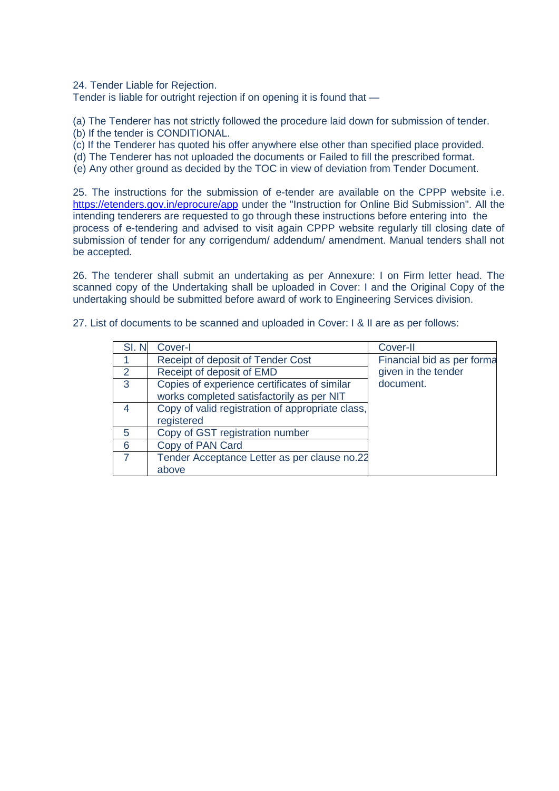24. Tender Liable for Rejection. Tender is liable for outright rejection if on opening it is found that —

(a) The Tenderer has not strictly followed the procedure laid down for submission of tender. (b) If the tender is CONDITIONAL.

(c) If the Tenderer has quoted his offer anywhere else other than specified place provided.

(d) The Tenderer has not uploaded the documents or Failed to fill the prescribed format.

(e) Any other ground as decided by the TOC in view of deviation from Tender Document.

25. The instructions for the submission of e-tender are available on the CPPP website i.e. <https://etenders.gov.in/eprocure/app> under the "Instruction for Online Bid Submission". All the intending tenderers are requested to go through these instructions before entering into the process of e-tendering and advised to visit again CPPP website regularly till closing date of submission of tender for any corrigendum/ addendum/ amendment. Manual tenders shall not be accepted.

26. The tenderer shall submit an undertaking as per Annexure: I on Firm letter head. The scanned copy of the Undertaking shall be uploaded in Cover: I and the Original Copy of the undertaking should be submitted before award of work to Engineering Services division.

| SI.N          | Cover-I                                          | Cover-II                   |
|---------------|--------------------------------------------------|----------------------------|
|               | Receipt of deposit of Tender Cost                | Financial bid as per forma |
| $\mathcal{P}$ | Receipt of deposit of EMD                        | given in the tender        |
| 3             | Copies of experience certificates of similar     | document.                  |
|               | works completed satisfactorily as per NIT        |                            |
| 4             | Copy of valid registration of appropriate class, |                            |
|               | registered                                       |                            |
| 5             | Copy of GST registration number                  |                            |
| 6             | Copy of PAN Card                                 |                            |
|               | Tender Acceptance Letter as per clause no.22     |                            |
|               | above                                            |                            |

27. List of documents to be scanned and uploaded in Cover: I & II are as per follows: